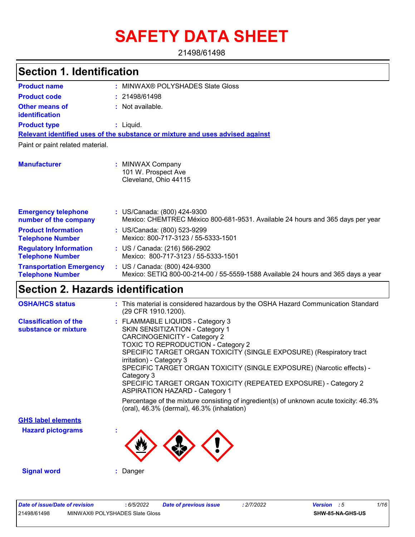# **SAFETY DATA SHEET**

21498/61498

| <b>Section 1. Identification</b>                           |                                                                                                                    |
|------------------------------------------------------------|--------------------------------------------------------------------------------------------------------------------|
| <b>Product name</b>                                        | MINWAX® POLYSHADES Slate Gloss                                                                                     |
| <b>Product code</b>                                        | : 21498/61498                                                                                                      |
| <b>Other means of</b><br>identification                    | : Not available.                                                                                                   |
| <b>Product type</b>                                        | : Liquid.                                                                                                          |
|                                                            | Relevant identified uses of the substance or mixture and uses advised against                                      |
| Paint or paint related material.                           |                                                                                                                    |
| <b>Manufacturer</b>                                        | : MINWAX Company<br>101 W. Prospect Ave<br>Cleveland, Ohio 44115                                                   |
| <b>Emergency telephone</b><br>number of the company        | : US/Canada: (800) 424-9300<br>Mexico: CHEMTREC México 800-681-9531. Available 24 hours and 365 days per year      |
| <b>Product Information</b><br><b>Telephone Number</b>      | : US/Canada: (800) 523-9299<br>Mexico: 800-717-3123 / 55-5333-1501                                                 |
| <b>Regulatory Information</b><br><b>Telephone Number</b>   | : US / Canada: (216) 566-2902<br>Mexico: 800-717-3123 / 55-5333-1501                                               |
| <b>Transportation Emergency</b><br><b>Telephone Number</b> | : US / Canada: (800) 424-9300<br>Mexico: SETIQ 800-00-214-00 / 55-5559-1588 Available 24 hours and 365 days a year |
| Section 2. Hazards identification                          |                                                                                                                    |
| <b>OSHA/HCS status</b>                                     | : This material is considered hazardous by the OSHA Hazard Communication Standard<br>(29 CFR 1910.1200).           |
| Claesification of the                                      | $\cdot$ CLAMMARIE LIOUIDS Category 3                                                                               |

| <b>Classification of the</b> | : FLAMMABLE LIQUIDS - Category 3                                                                                                     |
|------------------------------|--------------------------------------------------------------------------------------------------------------------------------------|
| substance or mixture         | <b>SKIN SENSITIZATION - Category 1</b>                                                                                               |
|                              | <b>CARCINOGENICITY - Category 2</b>                                                                                                  |
|                              | <b>TOXIC TO REPRODUCTION - Category 2</b>                                                                                            |
|                              | SPECIFIC TARGET ORGAN TOXICITY (SINGLE EXPOSURE) (Respiratory tract<br>irritation) - Category 3                                      |
|                              | SPECIFIC TARGET ORGAN TOXICITY (SINGLE EXPOSURE) (Narcotic effects) -<br>Category 3                                                  |
|                              | SPECIFIC TARGET ORGAN TOXICITY (REPEATED EXPOSURE) - Category 2<br><b>ASPIRATION HAZARD - Category 1</b>                             |
|                              | Percentage of the mixture consisting of ingredient(s) of unknown acute toxicity: 46.3%<br>(oral), 46.3% (dermal), 46.3% (inhalation) |
| <b>GHS label elements</b>    |                                                                                                                                      |
| <b>Hazard pictograms</b>     |                                                                                                                                      |

**Signal word :** Danger

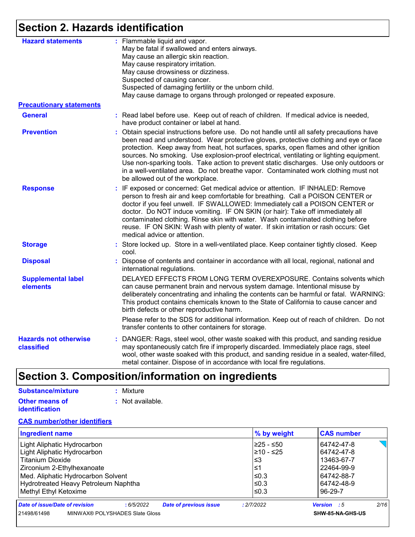## **Section 2. Hazards identification**

| <b>Hazard statements</b>                   | : Flammable liquid and vapor.<br>May be fatal if swallowed and enters airways.<br>May cause an allergic skin reaction.<br>May cause respiratory irritation.<br>May cause drowsiness or dizziness.<br>Suspected of causing cancer.<br>Suspected of damaging fertility or the unborn child.<br>May cause damage to organs through prolonged or repeated exposure.                                                                                                                                                                                                                              |
|--------------------------------------------|----------------------------------------------------------------------------------------------------------------------------------------------------------------------------------------------------------------------------------------------------------------------------------------------------------------------------------------------------------------------------------------------------------------------------------------------------------------------------------------------------------------------------------------------------------------------------------------------|
| <b>Precautionary statements</b>            |                                                                                                                                                                                                                                                                                                                                                                                                                                                                                                                                                                                              |
| <b>General</b>                             | : Read label before use. Keep out of reach of children. If medical advice is needed,<br>have product container or label at hand.                                                                                                                                                                                                                                                                                                                                                                                                                                                             |
| <b>Prevention</b>                          | : Obtain special instructions before use. Do not handle until all safety precautions have<br>been read and understood. Wear protective gloves, protective clothing and eye or face<br>protection. Keep away from heat, hot surfaces, sparks, open flames and other ignition<br>sources. No smoking. Use explosion-proof electrical, ventilating or lighting equipment.<br>Use non-sparking tools. Take action to prevent static discharges. Use only outdoors or<br>in a well-ventilated area. Do not breathe vapor. Contaminated work clothing must not<br>be allowed out of the workplace. |
| <b>Response</b>                            | : IF exposed or concerned: Get medical advice or attention. IF INHALED: Remove<br>person to fresh air and keep comfortable for breathing. Call a POISON CENTER or<br>doctor if you feel unwell. IF SWALLOWED: Immediately call a POISON CENTER or<br>doctor. Do NOT induce vomiting. IF ON SKIN (or hair): Take off immediately all<br>contaminated clothing. Rinse skin with water. Wash contaminated clothing before<br>reuse. IF ON SKIN: Wash with plenty of water. If skin irritation or rash occurs: Get<br>medical advice or attention.                                               |
| <b>Storage</b>                             | : Store locked up. Store in a well-ventilated place. Keep container tightly closed. Keep<br>cool.                                                                                                                                                                                                                                                                                                                                                                                                                                                                                            |
| <b>Disposal</b>                            | : Dispose of contents and container in accordance with all local, regional, national and<br>international regulations.                                                                                                                                                                                                                                                                                                                                                                                                                                                                       |
| <b>Supplemental label</b><br>elements      | DELAYED EFFECTS FROM LONG TERM OVEREXPOSURE. Contains solvents which<br>can cause permanent brain and nervous system damage. Intentional misuse by<br>deliberately concentrating and inhaling the contents can be harmful or fatal. WARNING:<br>This product contains chemicals known to the State of California to cause cancer and<br>birth defects or other reproductive harm.                                                                                                                                                                                                            |
|                                            | Please refer to the SDS for additional information. Keep out of reach of children. Do not<br>transfer contents to other containers for storage.                                                                                                                                                                                                                                                                                                                                                                                                                                              |
| <b>Hazards not otherwise</b><br>classified | : DANGER: Rags, steel wool, other waste soaked with this product, and sanding residue<br>may spontaneously catch fire if improperly discarded. Immediately place rags, steel<br>wool, other waste soaked with this product, and sanding residue in a sealed, water-filled,<br>metal container. Dispose of in accordance with local fire regulations.                                                                                                                                                                                                                                         |

## **Section 3. Composition/information on ingredients**

| Substance/mixture     | : Mixture                   |
|-----------------------|-----------------------------|
| Other means of        | $\therefore$ Not available. |
| <b>identification</b> |                             |

#### **CAS number/other identifiers**

| <b>Ingredient name</b>                                                       | % by weight | <b>CAS number</b>   |
|------------------------------------------------------------------------------|-------------|---------------------|
| Light Aliphatic Hydrocarbon                                                  | l≥25 - ≤50  | 64742-47-8          |
| Light Aliphatic Hydrocarbon                                                  | l≥10 - ≤25  | 64742-47-8          |
| <b>Titanium Dioxide</b>                                                      | ≤3          | 13463-67-7          |
| Zirconium 2-Ethylhexanoate                                                   | ≤1          | 22464-99-9          |
| Med. Aliphatic Hydrocarbon Solvent                                           | ≤0.3        | 64742-88-7          |
| Hydrotreated Heavy Petroleum Naphtha                                         | l≤0.3       | 64742-48-9          |
| Methyl Ethyl Ketoxime                                                        | $\leq 0.3$  | 96-29-7             |
| Date of issue/Date of revision<br><b>Date of previous issue</b><br>:6/5/2022 | : 2/7/2022  | 2/16<br>Version : 5 |
| MINWAX® POLYSHADES Slate Gloss<br>21498/61498                                |             | SHW-85-NA-GHS-US    |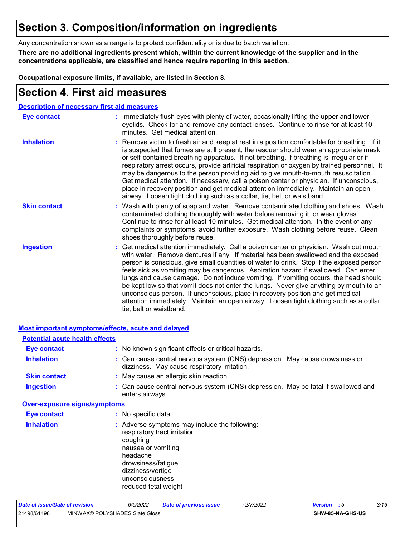### **Section 3. Composition/information on ingredients**

Any concentration shown as a range is to protect confidentiality or is due to batch variation.

**There are no additional ingredients present which, within the current knowledge of the supplier and in the concentrations applicable, are classified and hence require reporting in this section.**

**Occupational exposure limits, if available, are listed in Section 8.**

### **Section 4. First aid measures**

| <b>Description of necessary first aid measures</b> |                                                                                                                                                                                                                                                                                                                                                                                                                                                                                                                                                                                                                                                                                                                                                         |
|----------------------------------------------------|---------------------------------------------------------------------------------------------------------------------------------------------------------------------------------------------------------------------------------------------------------------------------------------------------------------------------------------------------------------------------------------------------------------------------------------------------------------------------------------------------------------------------------------------------------------------------------------------------------------------------------------------------------------------------------------------------------------------------------------------------------|
| <b>Eye contact</b>                                 | : Immediately flush eyes with plenty of water, occasionally lifting the upper and lower<br>eyelids. Check for and remove any contact lenses. Continue to rinse for at least 10<br>minutes. Get medical attention.                                                                                                                                                                                                                                                                                                                                                                                                                                                                                                                                       |
| <b>Inhalation</b>                                  | : Remove victim to fresh air and keep at rest in a position comfortable for breathing. If it<br>is suspected that fumes are still present, the rescuer should wear an appropriate mask<br>or self-contained breathing apparatus. If not breathing, if breathing is irregular or if<br>respiratory arrest occurs, provide artificial respiration or oxygen by trained personnel. It<br>may be dangerous to the person providing aid to give mouth-to-mouth resuscitation.<br>Get medical attention. If necessary, call a poison center or physician. If unconscious,<br>place in recovery position and get medical attention immediately. Maintain an open<br>airway. Loosen tight clothing such as a collar, tie, belt or waistband.                    |
| <b>Skin contact</b>                                | : Wash with plenty of soap and water. Remove contaminated clothing and shoes. Wash<br>contaminated clothing thoroughly with water before removing it, or wear gloves.<br>Continue to rinse for at least 10 minutes. Get medical attention. In the event of any<br>complaints or symptoms, avoid further exposure. Wash clothing before reuse. Clean<br>shoes thoroughly before reuse.                                                                                                                                                                                                                                                                                                                                                                   |
| <b>Ingestion</b>                                   | : Get medical attention immediately. Call a poison center or physician. Wash out mouth<br>with water. Remove dentures if any. If material has been swallowed and the exposed<br>person is conscious, give small quantities of water to drink. Stop if the exposed person<br>feels sick as vomiting may be dangerous. Aspiration hazard if swallowed. Can enter<br>lungs and cause damage. Do not induce vomiting. If vomiting occurs, the head should<br>be kept low so that vomit does not enter the lungs. Never give anything by mouth to an<br>unconscious person. If unconscious, place in recovery position and get medical<br>attention immediately. Maintain an open airway. Loosen tight clothing such as a collar,<br>tie, belt or waistband. |

|                                       | Most important symptoms/effects, acute and delayed                                                                                                                                                                |  |
|---------------------------------------|-------------------------------------------------------------------------------------------------------------------------------------------------------------------------------------------------------------------|--|
| <b>Potential acute health effects</b> |                                                                                                                                                                                                                   |  |
| <b>Eye contact</b>                    | : No known significant effects or critical hazards.                                                                                                                                                               |  |
| <b>Inhalation</b>                     | : Can cause central nervous system (CNS) depression. May cause drowsiness or<br>dizziness. May cause respiratory irritation.                                                                                      |  |
| <b>Skin contact</b>                   | : May cause an allergic skin reaction.                                                                                                                                                                            |  |
| <b>Ingestion</b>                      | : Can cause central nervous system (CNS) depression. May be fatal if swallowed and<br>enters airways.                                                                                                             |  |
| <b>Over-exposure signs/symptoms</b>   |                                                                                                                                                                                                                   |  |
| Eye contact                           | : No specific data.                                                                                                                                                                                               |  |
| <b>Inhalation</b>                     | : Adverse symptoms may include the following:<br>respiratory tract irritation<br>coughing<br>nausea or vomiting<br>headache<br>drowsiness/fatigue<br>dizziness/vertigo<br>unconsciousness<br>reduced fetal weight |  |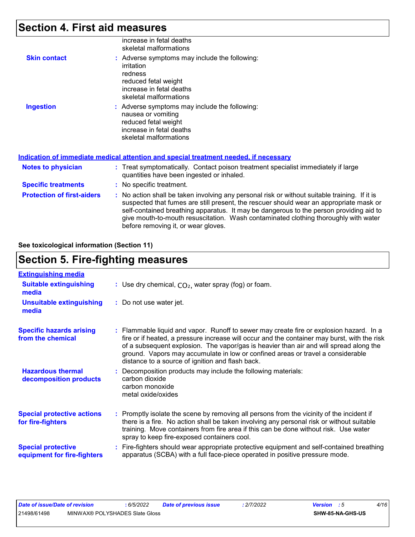### **Section 4. First aid measures**

|                                   | increase in fetal deaths<br>skeletal malformations                                                                                                                                                                                                                                                                                                                                                              |
|-----------------------------------|-----------------------------------------------------------------------------------------------------------------------------------------------------------------------------------------------------------------------------------------------------------------------------------------------------------------------------------------------------------------------------------------------------------------|
| <b>Skin contact</b>               | : Adverse symptoms may include the following:<br>irritation<br>redness<br>reduced fetal weight<br>increase in fetal deaths<br>skeletal malformations                                                                                                                                                                                                                                                            |
| <b>Ingestion</b>                  | : Adverse symptoms may include the following:<br>nausea or vomiting<br>reduced fetal weight<br>increase in fetal deaths<br>skeletal malformations<br><u>Indication of immediate medical attention and special treatment needed, if necessary</u>                                                                                                                                                                |
|                                   |                                                                                                                                                                                                                                                                                                                                                                                                                 |
| <b>Notes to physician</b>         | : Treat symptomatically. Contact poison treatment specialist immediately if large<br>quantities have been ingested or inhaled.                                                                                                                                                                                                                                                                                  |
| <b>Specific treatments</b>        | : No specific treatment.                                                                                                                                                                                                                                                                                                                                                                                        |
| <b>Protection of first-aiders</b> | : No action shall be taken involving any personal risk or without suitable training. If it is<br>suspected that fumes are still present, the rescuer should wear an appropriate mask or<br>self-contained breathing apparatus. It may be dangerous to the person providing aid to<br>give mouth-to-mouth resuscitation. Wash contaminated clothing thoroughly with water<br>before removing it, or wear gloves. |

**See toxicological information (Section 11)**

### **Section 5. Fire-fighting measures**

| <b>Extinguishing media</b>                               |                                                                                                                                                                                                                                                                                                                                                                                                                          |
|----------------------------------------------------------|--------------------------------------------------------------------------------------------------------------------------------------------------------------------------------------------------------------------------------------------------------------------------------------------------------------------------------------------------------------------------------------------------------------------------|
| <b>Suitable extinguishing</b><br>media                   | : Use dry chemical, $CO2$ , water spray (fog) or foam.                                                                                                                                                                                                                                                                                                                                                                   |
| <b>Unsuitable extinguishing</b><br>media                 | : Do not use water jet.                                                                                                                                                                                                                                                                                                                                                                                                  |
| <b>Specific hazards arising</b><br>from the chemical     | : Flammable liquid and vapor. Runoff to sewer may create fire or explosion hazard. In a<br>fire or if heated, a pressure increase will occur and the container may burst, with the risk<br>of a subsequent explosion. The vapor/gas is heavier than air and will spread along the<br>ground. Vapors may accumulate in low or confined areas or travel a considerable<br>distance to a source of ignition and flash back. |
| <b>Hazardous thermal</b><br>decomposition products       | : Decomposition products may include the following materials:<br>carbon dioxide<br>carbon monoxide<br>metal oxide/oxides                                                                                                                                                                                                                                                                                                 |
| <b>Special protective actions</b><br>for fire-fighters   | : Promptly isolate the scene by removing all persons from the vicinity of the incident if<br>there is a fire. No action shall be taken involving any personal risk or without suitable<br>training. Move containers from fire area if this can be done without risk. Use water<br>spray to keep fire-exposed containers cool.                                                                                            |
| <b>Special protective</b><br>equipment for fire-fighters | Fire-fighters should wear appropriate protective equipment and self-contained breathing<br>apparatus (SCBA) with a full face-piece operated in positive pressure mode.                                                                                                                                                                                                                                                   |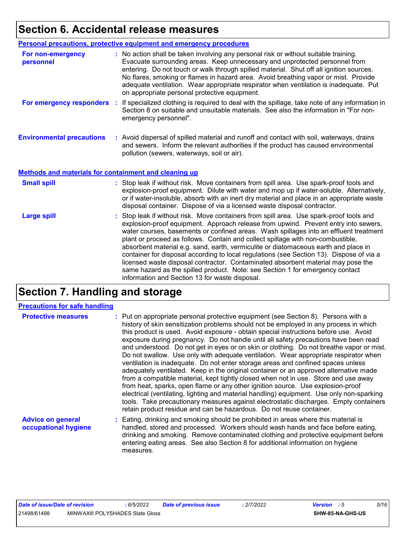### **Section 6. Accidental release measures**

|                                                              | Personal precautions, protective equipment and emergency procedures                                                                                                                                                                                                                                                                                                                                                                                                                                                                                                                                                                                                                                                                                                  |
|--------------------------------------------------------------|----------------------------------------------------------------------------------------------------------------------------------------------------------------------------------------------------------------------------------------------------------------------------------------------------------------------------------------------------------------------------------------------------------------------------------------------------------------------------------------------------------------------------------------------------------------------------------------------------------------------------------------------------------------------------------------------------------------------------------------------------------------------|
| For non-emergency<br>personnel                               | : No action shall be taken involving any personal risk or without suitable training.<br>Evacuate surrounding areas. Keep unnecessary and unprotected personnel from<br>entering. Do not touch or walk through spilled material. Shut off all ignition sources.<br>No flares, smoking or flames in hazard area. Avoid breathing vapor or mist. Provide<br>adequate ventilation. Wear appropriate respirator when ventilation is inadequate. Put<br>on appropriate personal protective equipment.                                                                                                                                                                                                                                                                      |
|                                                              | For emergency responders : If specialized clothing is required to deal with the spillage, take note of any information in<br>Section 8 on suitable and unsuitable materials. See also the information in "For non-<br>emergency personnel".                                                                                                                                                                                                                                                                                                                                                                                                                                                                                                                          |
| <b>Environmental precautions</b>                             | : Avoid dispersal of spilled material and runoff and contact with soil, waterways, drains<br>and sewers. Inform the relevant authorities if the product has caused environmental<br>pollution (sewers, waterways, soil or air).                                                                                                                                                                                                                                                                                                                                                                                                                                                                                                                                      |
| <b>Methods and materials for containment and cleaning up</b> |                                                                                                                                                                                                                                                                                                                                                                                                                                                                                                                                                                                                                                                                                                                                                                      |
| <b>Small spill</b>                                           | : Stop leak if without risk. Move containers from spill area. Use spark-proof tools and<br>explosion-proof equipment. Dilute with water and mop up if water-soluble. Alternatively,<br>or if water-insoluble, absorb with an inert dry material and place in an appropriate waste<br>disposal container. Dispose of via a licensed waste disposal contractor.                                                                                                                                                                                                                                                                                                                                                                                                        |
| <b>Large spill</b>                                           | : Stop leak if without risk. Move containers from spill area. Use spark-proof tools and<br>explosion-proof equipment. Approach release from upwind. Prevent entry into sewers,<br>water courses, basements or confined areas. Wash spillages into an effluent treatment<br>plant or proceed as follows. Contain and collect spillage with non-combustible,<br>absorbent material e.g. sand, earth, vermiculite or diatomaceous earth and place in<br>container for disposal according to local regulations (see Section 13). Dispose of via a<br>licensed waste disposal contractor. Contaminated absorbent material may pose the<br>same hazard as the spilled product. Note: see Section 1 for emergency contact<br>information and Section 13 for waste disposal. |

## **Section 7. Handling and storage**

#### **Precautions for safe handling**

| <b>Protective measures</b>                       | : Put on appropriate personal protective equipment (see Section 8). Persons with a<br>history of skin sensitization problems should not be employed in any process in which<br>this product is used. Avoid exposure - obtain special instructions before use. Avoid<br>exposure during pregnancy. Do not handle until all safety precautions have been read<br>and understood. Do not get in eyes or on skin or clothing. Do not breathe vapor or mist.<br>Do not swallow. Use only with adequate ventilation. Wear appropriate respirator when<br>ventilation is inadequate. Do not enter storage areas and confined spaces unless<br>adequately ventilated. Keep in the original container or an approved alternative made<br>from a compatible material, kept tightly closed when not in use. Store and use away<br>from heat, sparks, open flame or any other ignition source. Use explosion-proof<br>electrical (ventilating, lighting and material handling) equipment. Use only non-sparking<br>tools. Take precautionary measures against electrostatic discharges. Empty containers<br>retain product residue and can be hazardous. Do not reuse container. |
|--------------------------------------------------|----------------------------------------------------------------------------------------------------------------------------------------------------------------------------------------------------------------------------------------------------------------------------------------------------------------------------------------------------------------------------------------------------------------------------------------------------------------------------------------------------------------------------------------------------------------------------------------------------------------------------------------------------------------------------------------------------------------------------------------------------------------------------------------------------------------------------------------------------------------------------------------------------------------------------------------------------------------------------------------------------------------------------------------------------------------------------------------------------------------------------------------------------------------------|
| <b>Advice on general</b><br>occupational hygiene | : Eating, drinking and smoking should be prohibited in areas where this material is<br>handled, stored and processed. Workers should wash hands and face before eating,<br>drinking and smoking. Remove contaminated clothing and protective equipment before<br>entering eating areas. See also Section 8 for additional information on hygiene                                                                                                                                                                                                                                                                                                                                                                                                                                                                                                                                                                                                                                                                                                                                                                                                                     |

measures.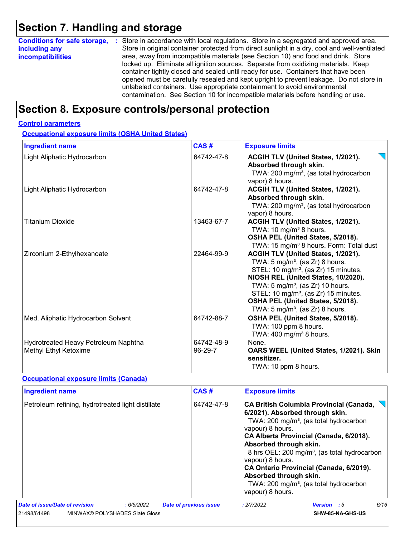## **Section 7. Handling and storage**

| <b>Conditions for safe storage,</b> | : Store in accordance with local regulations. Store in a segregated and approved area.        |
|-------------------------------------|-----------------------------------------------------------------------------------------------|
| including any                       | Store in original container protected from direct sunlight in a dry, cool and well-ventilated |
| <b>incompatibilities</b>            | area, away from incompatible materials (see Section 10) and food and drink. Store             |
|                                     | locked up. Eliminate all ignition sources. Separate from oxidizing materials. Keep            |
|                                     | container tightly closed and sealed until ready for use. Containers that have been            |
|                                     | opened must be carefully resealed and kept upright to prevent leakage. Do not store in        |
|                                     | unlabeled containers. Use appropriate containment to avoid environmental                      |
|                                     | contamination. See Section 10 for incompatible materials before handling or use.              |

### **Section 8. Exposure controls/personal protection**

#### **Control parameters**

**Occupational exposure limits (OSHA United States)**

| <b>Ingredient name</b>                                        | CAS#                  | <b>Exposure limits</b>                                                                                                                                                                                                                                                                                                                                                |
|---------------------------------------------------------------|-----------------------|-----------------------------------------------------------------------------------------------------------------------------------------------------------------------------------------------------------------------------------------------------------------------------------------------------------------------------------------------------------------------|
| Light Aliphatic Hydrocarbon                                   | 64742-47-8            | ACGIH TLV (United States, 1/2021).<br>Absorbed through skin.<br>TWA: 200 mg/m <sup>3</sup> , (as total hydrocarbon<br>vapor) 8 hours.                                                                                                                                                                                                                                 |
| Light Aliphatic Hydrocarbon                                   | 64742-47-8            | ACGIH TLV (United States, 1/2021).<br>Absorbed through skin.<br>TWA: 200 mg/m <sup>3</sup> , (as total hydrocarbon<br>vapor) 8 hours.                                                                                                                                                                                                                                 |
| Titanium Dioxide                                              | 13463-67-7            | ACGIH TLV (United States, 1/2021).<br>TWA: 10 mg/m <sup>3</sup> 8 hours.<br>OSHA PEL (United States, 5/2018).<br>TWA: 15 mg/m <sup>3</sup> 8 hours. Form: Total dust                                                                                                                                                                                                  |
| Zirconium 2-Ethylhexanoate                                    | 22464-99-9            | ACGIH TLV (United States, 1/2021).<br>TWA: $5 \text{ mg/m}^3$ , (as Zr) 8 hours.<br>STEL: 10 mg/m <sup>3</sup> , (as Zr) 15 minutes.<br>NIOSH REL (United States, 10/2020).<br>TWA: $5 \text{ mg/m}^3$ , (as Zr) 10 hours.<br>STEL: 10 mg/m <sup>3</sup> , (as Zr) 15 minutes.<br>OSHA PEL (United States, 5/2018).<br>TWA: 5 mg/m <sup>3</sup> , (as $Zr$ ) 8 hours. |
| Med. Aliphatic Hydrocarbon Solvent                            | 64742-88-7            | OSHA PEL (United States, 5/2018).<br>TWA: 100 ppm 8 hours.<br>TWA: $400 \text{ mg/m}^3$ 8 hours.                                                                                                                                                                                                                                                                      |
| Hydrotreated Heavy Petroleum Naphtha<br>Methyl Ethyl Ketoxime | 64742-48-9<br>96-29-7 | None.<br>OARS WEEL (United States, 1/2021). Skin<br>sensitizer.<br>TWA: 10 ppm 8 hours.                                                                                                                                                                                                                                                                               |

#### **Occupational exposure limits (Canada)**

| <b>Ingredient name</b>                            | CAS#                          | <b>Exposure limits</b>                                                                                                                                                                                                                                                                                                                                                                                                                                          |
|---------------------------------------------------|-------------------------------|-----------------------------------------------------------------------------------------------------------------------------------------------------------------------------------------------------------------------------------------------------------------------------------------------------------------------------------------------------------------------------------------------------------------------------------------------------------------|
| Petroleum refining, hydrotreated light distillate | 64742-47-8                    | <b>CA British Columbia Provincial (Canada,</b><br>6/2021). Absorbed through skin.<br>TWA: 200 mg/m <sup>3</sup> , (as total hydrocarbon<br>vapour) 8 hours.<br>CA Alberta Provincial (Canada, 6/2018).<br>Absorbed through skin.<br>8 hrs OEL: 200 mg/m <sup>3</sup> , (as total hydrocarbon<br>vapour) 8 hours.<br>CA Ontario Provincial (Canada, 6/2019).<br>Absorbed through skin.<br>TWA: 200 mg/m <sup>3</sup> , (as total hydrocarbon<br>vapour) 8 hours. |
| Date of issue/Date of revision<br>:6/5/2022       | <b>Date of previous issue</b> | 6/16<br><b>Version</b> : 5<br>: 2/7/2022                                                                                                                                                                                                                                                                                                                                                                                                                        |
| 21498/61498<br>MINWAX® POLYSHADES Slate Gloss     |                               | SHW-85-NA-GHS-US                                                                                                                                                                                                                                                                                                                                                                                                                                                |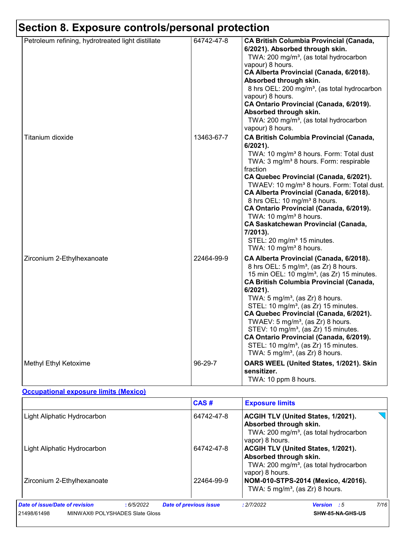## **Section 8. Exposure controls/personal protection**

| Petroleum refining, hydrotreated light distillate | 64742-47-8 | <b>CA British Columbia Provincial (Canada,</b><br>6/2021). Absorbed through skin.                                                                                                                                                            |
|---------------------------------------------------|------------|----------------------------------------------------------------------------------------------------------------------------------------------------------------------------------------------------------------------------------------------|
|                                                   |            | TWA: 200 mg/m <sup>3</sup> , (as total hydrocarbon<br>vapour) 8 hours.<br>CA Alberta Provincial (Canada, 6/2018).                                                                                                                            |
|                                                   |            | Absorbed through skin.<br>8 hrs OEL: 200 mg/m <sup>3</sup> , (as total hydrocarbon                                                                                                                                                           |
|                                                   |            | vapour) 8 hours.<br>CA Ontario Provincial (Canada, 6/2019).<br>Absorbed through skin.                                                                                                                                                        |
|                                                   |            | TWA: 200 mg/m <sup>3</sup> , (as total hydrocarbon<br>vapour) 8 hours.                                                                                                                                                                       |
| Titanium dioxide                                  | 13463-67-7 | <b>CA British Columbia Provincial (Canada,</b><br>6/2021).<br>TWA: 10 mg/m <sup>3</sup> 8 hours. Form: Total dust<br>TWA: 3 mg/m <sup>3</sup> 8 hours. Form: respirable<br>fraction                                                          |
|                                                   |            | CA Quebec Provincial (Canada, 6/2021).<br>TWAEV: 10 mg/m <sup>3</sup> 8 hours. Form: Total dust.<br>CA Alberta Provincial (Canada, 6/2018).<br>8 hrs OEL: 10 mg/m <sup>3</sup> 8 hours.                                                      |
|                                                   |            | CA Ontario Provincial (Canada, 6/2019).<br>TWA: 10 mg/m <sup>3</sup> 8 hours.<br><b>CA Saskatchewan Provincial (Canada,</b><br>7/2013).                                                                                                      |
|                                                   |            | STEL: 20 mg/m <sup>3</sup> 15 minutes.<br>TWA: 10 mg/m <sup>3</sup> 8 hours.                                                                                                                                                                 |
| Zirconium 2-Ethylhexanoate                        | 22464-99-9 | CA Alberta Provincial (Canada, 6/2018).<br>8 hrs OEL: 5 mg/m <sup>3</sup> , (as Zr) 8 hours.<br>15 min OEL: 10 mg/m <sup>3</sup> , (as Zr) 15 minutes.<br><b>CA British Columbia Provincial (Canada,</b><br>$6/2021$ ).                      |
|                                                   |            | TWA: $5 \text{ mg/m}^3$ , (as Zr) 8 hours.<br>STEL: 10 mg/m <sup>3</sup> , (as Zr) 15 minutes.<br>CA Quebec Provincial (Canada, 6/2021).<br>TWAEV: $5 \text{ mg/m}^3$ , (as Zr) 8 hours.<br>STEV: 10 mg/m <sup>3</sup> , (as Zr) 15 minutes. |
|                                                   |            | CA Ontario Provincial (Canada, 6/2019).<br>STEL: 10 mg/m <sup>3</sup> , (as Zr) 15 minutes.<br>TWA: $5 \text{ mg/m}^3$ , (as Zr) 8 hours.                                                                                                    |
| Methyl Ethyl Ketoxime                             | 96-29-7    | OARS WEEL (United States, 1/2021). Skin<br>sensitizer.<br>TWA: 10 ppm 8 hours.                                                                                                                                                               |

#### **Occupational exposure limits (Mexico)**

|                                               | CAS#                          | <b>Exposure limits</b>                                                                                                                       |      |
|-----------------------------------------------|-------------------------------|----------------------------------------------------------------------------------------------------------------------------------------------|------|
| Light Aliphatic Hydrocarbon                   | 64742-47-8                    | <b>ACGIH TLV (United States, 1/2021).</b><br>Absorbed through skin.<br>TWA: 200 mg/m <sup>3</sup> , (as total hydrocarbon<br>vapor) 8 hours. |      |
| Light Aliphatic Hydrocarbon                   | 64742-47-8                    | ACGIH TLV (United States, 1/2021).<br>Absorbed through skin.<br>TWA: 200 mg/m <sup>3</sup> , (as total hydrocarbon<br>vapor) 8 hours.        |      |
| Zirconium 2-Ethylhexanoate                    | 22464-99-9                    | NOM-010-STPS-2014 (Mexico, 4/2016).<br>TWA: $5 \text{ mg/m}^3$ , (as Zr) 8 hours.                                                            |      |
| Date of issue/Date of revision<br>:6/5/2022   | <b>Date of previous issue</b> | : 2/7/2022<br><b>Version</b> : 5                                                                                                             | 7/16 |
| MINWAX® POLYSHADES Slate Gloss<br>21498/61498 |                               | SHW-85-NA-GHS-US                                                                                                                             |      |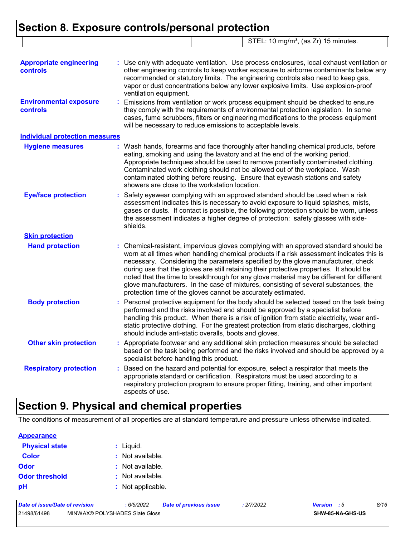### **Section 8. Exposure controls/personal protection**

|                                            | STEL: 10 mg/m <sup>3</sup> , (as Zr) 15 minutes.                                                                                                                                                                                                                                                                                                                                                                                                                                                                                                                                                                     |
|--------------------------------------------|----------------------------------------------------------------------------------------------------------------------------------------------------------------------------------------------------------------------------------------------------------------------------------------------------------------------------------------------------------------------------------------------------------------------------------------------------------------------------------------------------------------------------------------------------------------------------------------------------------------------|
| <b>Appropriate engineering</b><br>controls | : Use only with adequate ventilation. Use process enclosures, local exhaust ventilation or<br>other engineering controls to keep worker exposure to airborne contaminants below any<br>recommended or statutory limits. The engineering controls also need to keep gas,<br>vapor or dust concentrations below any lower explosive limits. Use explosion-proof<br>ventilation equipment.                                                                                                                                                                                                                              |
| <b>Environmental exposure</b><br>controls  | Emissions from ventilation or work process equipment should be checked to ensure<br>÷.<br>they comply with the requirements of environmental protection legislation. In some<br>cases, fume scrubbers, filters or engineering modifications to the process equipment<br>will be necessary to reduce emissions to acceptable levels.                                                                                                                                                                                                                                                                                  |
| <b>Individual protection measures</b>      |                                                                                                                                                                                                                                                                                                                                                                                                                                                                                                                                                                                                                      |
| <b>Hygiene measures</b>                    | Wash hands, forearms and face thoroughly after handling chemical products, before<br>eating, smoking and using the lavatory and at the end of the working period.<br>Appropriate techniques should be used to remove potentially contaminated clothing.<br>Contaminated work clothing should not be allowed out of the workplace. Wash<br>contaminated clothing before reusing. Ensure that eyewash stations and safety<br>showers are close to the workstation location.                                                                                                                                            |
| <b>Eye/face protection</b>                 | Safety eyewear complying with an approved standard should be used when a risk<br>÷.<br>assessment indicates this is necessary to avoid exposure to liquid splashes, mists,<br>gases or dusts. If contact is possible, the following protection should be worn, unless<br>the assessment indicates a higher degree of protection: safety glasses with side-<br>shields.                                                                                                                                                                                                                                               |
| <b>Skin protection</b>                     |                                                                                                                                                                                                                                                                                                                                                                                                                                                                                                                                                                                                                      |
| <b>Hand protection</b>                     | Chemical-resistant, impervious gloves complying with an approved standard should be<br>worn at all times when handling chemical products if a risk assessment indicates this is<br>necessary. Considering the parameters specified by the glove manufacturer, check<br>during use that the gloves are still retaining their protective properties. It should be<br>noted that the time to breakthrough for any glove material may be different for different<br>glove manufacturers. In the case of mixtures, consisting of several substances, the<br>protection time of the gloves cannot be accurately estimated. |
| <b>Body protection</b>                     | Personal protective equipment for the body should be selected based on the task being<br>performed and the risks involved and should be approved by a specialist before<br>handling this product. When there is a risk of ignition from static electricity, wear anti-<br>static protective clothing. For the greatest protection from static discharges, clothing<br>should include anti-static overalls, boots and gloves.                                                                                                                                                                                         |
| <b>Other skin protection</b>               | : Appropriate footwear and any additional skin protection measures should be selected<br>based on the task being performed and the risks involved and should be approved by a<br>specialist before handling this product.                                                                                                                                                                                                                                                                                                                                                                                            |
| <b>Respiratory protection</b>              | Based on the hazard and potential for exposure, select a respirator that meets the<br>appropriate standard or certification. Respirators must be used according to a<br>respiratory protection program to ensure proper fitting, training, and other important<br>aspects of use.                                                                                                                                                                                                                                                                                                                                    |

## **Section 9. Physical and chemical properties**

The conditions of measurement of all properties are at standard temperature and pressure unless otherwise indicated.

#### **Appearance**

| <b>Physical state</b> | : Liquid.         |
|-----------------------|-------------------|
| <b>Color</b>          | : Not available.  |
| <b>Odor</b>           | : Not available.  |
| <b>Odor threshold</b> | : Not available.  |
| рH                    | : Not applicable. |

| Date of issue/Date of revision |                                | 6/5/2022 | <b>Date of previous issue</b> | : 2/7/2022 | <b>Version</b> : 5 |                  | 8/16 |
|--------------------------------|--------------------------------|----------|-------------------------------|------------|--------------------|------------------|------|
| 21498/61498                    | MINWAX® POLYSHADES Slate Gloss |          |                               |            |                    | SHW-85-NA-GHS-US |      |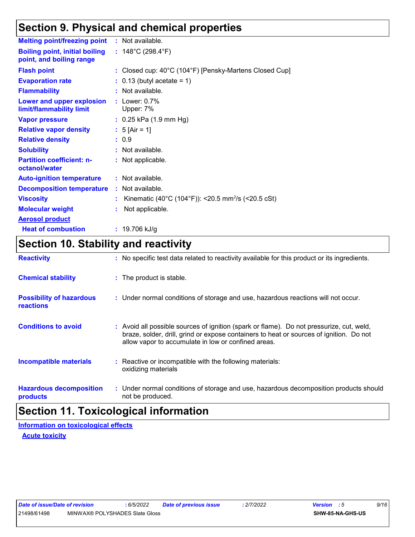### **Section 9. Physical and chemical properties**

| <b>Melting point/freezing point</b>                               |    | : Not available.                                               |
|-------------------------------------------------------------------|----|----------------------------------------------------------------|
| <b>Boiling point, initial boiling</b><br>point, and boiling range |    | : $148^{\circ}$ C (298.4 $^{\circ}$ F)                         |
| <b>Flash point</b>                                                |    | : Closed cup: 40°C (104°F) [Pensky-Martens Closed Cup]         |
| <b>Evaporation rate</b>                                           |    | $: 0.13$ (butyl acetate = 1)                                   |
| <b>Flammability</b>                                               |    | : Not available.                                               |
| <b>Lower and upper explosion</b><br>limit/flammability limit      |    | $:$ Lower: $0.7\%$<br>Upper: 7%                                |
| <b>Vapor pressure</b>                                             |    | $: 0.25$ kPa (1.9 mm Hg)                                       |
| <b>Relative vapor density</b>                                     |    | : $5$ [Air = 1]                                                |
| <b>Relative density</b>                                           |    | : 0.9                                                          |
| <b>Solubility</b>                                                 |    | : Not available.                                               |
| <b>Partition coefficient: n-</b><br>octanol/water                 |    | : Not applicable.                                              |
| <b>Auto-ignition temperature</b>                                  |    | : Not available.                                               |
| <b>Decomposition temperature</b>                                  |    | $:$ Not available.                                             |
| <b>Viscosity</b>                                                  |    | Kinematic (40°C (104°F)): <20.5 mm <sup>2</sup> /s (<20.5 cSt) |
| <b>Molecular weight</b>                                           | t. | Not applicable.                                                |
| <b>Aerosol product</b>                                            |    |                                                                |
| <b>Heat of combustion</b>                                         |    | : $19.706$ kJ/g                                                |

### **Section 10. Stability and reactivity**

| <b>Reactivity</b>                                   | : No specific test data related to reactivity available for this product or its ingredients.                                                                                                                                               |  |
|-----------------------------------------------------|--------------------------------------------------------------------------------------------------------------------------------------------------------------------------------------------------------------------------------------------|--|
| <b>Chemical stability</b>                           | : The product is stable.                                                                                                                                                                                                                   |  |
| <b>Possibility of hazardous</b><br><b>reactions</b> | : Under normal conditions of storage and use, hazardous reactions will not occur.                                                                                                                                                          |  |
| <b>Conditions to avoid</b>                          | : Avoid all possible sources of ignition (spark or flame). Do not pressurize, cut, weld,<br>braze, solder, drill, grind or expose containers to heat or sources of ignition. Do not<br>allow vapor to accumulate in low or confined areas. |  |
| <b>Incompatible materials</b>                       | : Reactive or incompatible with the following materials:<br>oxidizing materials                                                                                                                                                            |  |
| <b>Hazardous decomposition</b><br>products          | : Under normal conditions of storage and use, hazardous decomposition products should<br>not be produced.                                                                                                                                  |  |
|                                                     | .                                                                                                                                                                                                                                          |  |

### **Section 11. Toxicological information**

**Acute toxicity Information on toxicological effects**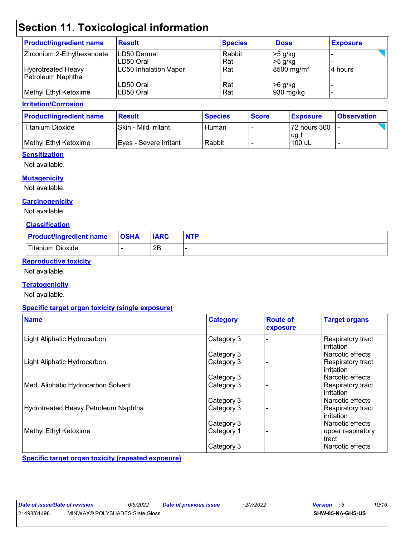## **Section 11. Toxicological information**

| <b>Product/ingredient name</b>                 | <b>Result</b>             | <b>Species</b> | <b>Dose</b>                        | <b>Exposure</b> |
|------------------------------------------------|---------------------------|----------------|------------------------------------|-----------------|
| Zirconium 2-Ethylhexanoate                     | ILD50 Dermal<br>LD50 Oral | Rabbit<br>Rat  | >5 g/kg<br>$>5$ g/kg               |                 |
| <b>Hydrotreated Heavy</b><br>Petroleum Naphtha | LC50 Inhalation Vapor     | Rat            | $8500$ mg/m <sup>3</sup>           | l4 hours        |
| Methyl Ethyl Ketoxime                          | LD50 Oral<br>ILD50 Oral   | Rat<br>Rat     | $>6$ g/kg<br>$ 930 \text{ mg/kg} $ |                 |

#### **Irritation/Corrosion**

| <b>Product/ingredient name</b> | <b>Result</b>           | <b>Species</b> | <b>Score</b> | <u>I Exposure</u> | <b>Observation</b> |
|--------------------------------|-------------------------|----------------|--------------|-------------------|--------------------|
| <b>Titanium Dioxide</b>        | Skin - Mild irritant    | Human          |              | 72 hours 300      |                    |
|                                |                         |                |              | ug l              |                    |
| l Methvl Ethvl Ketoxime l      | IEves - Severe irritant | Rabbit         |              | 100 uL            |                    |

#### **Sensitization**

Not available.

#### **Mutagenicity**

Not available.

#### **Carcinogenicity**

Not available.

#### **Classification**

| <b>Product/ingredient name</b> | <b>OSHA</b> | <b>IARC</b> | <b>NTP</b> |
|--------------------------------|-------------|-------------|------------|
| Titanium Dioxide               |             | 2R<br>ىر    |            |

#### **Reproductive toxicity**

Not available.

#### **Teratogenicity**

Not available.

#### **Specific target organ toxicity (single exposure)**

| <b>Name</b>                          | <b>Category</b> | <b>Route of</b><br>exposure | <b>Target organs</b>            |
|--------------------------------------|-----------------|-----------------------------|---------------------------------|
| Light Aliphatic Hydrocarbon          | Category 3      |                             | Respiratory tract<br>irritation |
|                                      | Category 3      |                             | Narcotic effects                |
| Light Aliphatic Hydrocarbon          | Category 3      |                             | Respiratory tract<br>irritation |
|                                      | Category 3      |                             | Narcotic effects                |
| Med. Aliphatic Hydrocarbon Solvent   | Category 3      |                             | Respiratory tract<br>irritation |
|                                      | Category 3      |                             | Narcotic effects                |
| Hydrotreated Heavy Petroleum Naphtha | Category 3      |                             | Respiratory tract<br>irritation |
|                                      | Category 3      |                             | Narcotic effects                |
| Methyl Ethyl Ketoxime                | Category 1      |                             | upper respiratory<br>tract      |
|                                      | Category 3      |                             | Narcotic effects                |

**Specific target organ toxicity (repeated exposure)**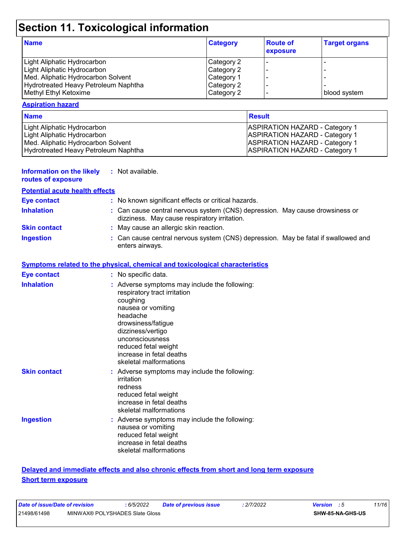## **Section 11. Toxicological information**

| <b>Name</b>                          | <b>Category</b> | <b>Route of</b><br>exposure | <b>Target organs</b> |
|--------------------------------------|-----------------|-----------------------------|----------------------|
| Light Aliphatic Hydrocarbon          | Category 2      |                             |                      |
| Light Aliphatic Hydrocarbon          | Category 2      |                             |                      |
| Med. Aliphatic Hydrocarbon Solvent   | Category 1      |                             |                      |
| Hydrotreated Heavy Petroleum Naphtha | Category 2      |                             |                      |
| Methyl Ethyl Ketoxime                | Category 2      |                             | blood system         |

#### **Aspiration hazard**

| <b>Name</b>                          | Result                                |
|--------------------------------------|---------------------------------------|
| Light Aliphatic Hydrocarbon          | <b>ASPIRATION HAZARD - Category 1</b> |
| Light Aliphatic Hydrocarbon          | <b>ASPIRATION HAZARD - Category 1</b> |
| Med. Aliphatic Hydrocarbon Solvent   | <b>ASPIRATION HAZARD - Category 1</b> |
| Hydrotreated Heavy Petroleum Naphtha | <b>ASPIRATION HAZARD - Category 1</b> |

| <b>Information on the likely</b> | : Not available. |
|----------------------------------|------------------|
| routes of exposure               |                  |

| <b>Potential acute health effects</b> |                                                                                                                                                                                                                                                                         |
|---------------------------------------|-------------------------------------------------------------------------------------------------------------------------------------------------------------------------------------------------------------------------------------------------------------------------|
| <b>Eye contact</b>                    | : No known significant effects or critical hazards.                                                                                                                                                                                                                     |
| <b>Inhalation</b>                     | : Can cause central nervous system (CNS) depression. May cause drowsiness or<br>dizziness. May cause respiratory irritation.                                                                                                                                            |
| <b>Skin contact</b>                   | : May cause an allergic skin reaction.                                                                                                                                                                                                                                  |
| <b>Ingestion</b>                      | : Can cause central nervous system (CNS) depression. May be fatal if swallowed and<br>enters airways.                                                                                                                                                                   |
|                                       | Symptoms related to the physical, chemical and toxicological characteristics                                                                                                                                                                                            |
| <b>Eye contact</b>                    | : No specific data.                                                                                                                                                                                                                                                     |
| <b>Inhalation</b>                     | : Adverse symptoms may include the following:<br>respiratory tract irritation<br>coughing<br>nausea or vomiting<br>headache<br>drowsiness/fatigue<br>dizziness/vertigo<br>unconsciousness<br>reduced fetal weight<br>increase in fetal deaths<br>skeletal malformations |
| <b>Skin contact</b>                   | : Adverse symptoms may include the following:<br>irritation<br>redness<br>reduced fetal weight<br>increase in fetal deaths<br>skeletal malformations                                                                                                                    |
| <b>Ingestion</b>                      | : Adverse symptoms may include the following:<br>nausea or vomiting<br>reduced fetal weight<br>increase in fetal deaths<br>skeletal malformations                                                                                                                       |

#### **Delayed and immediate effects and also chronic effects from short and long term exposure Short term exposure**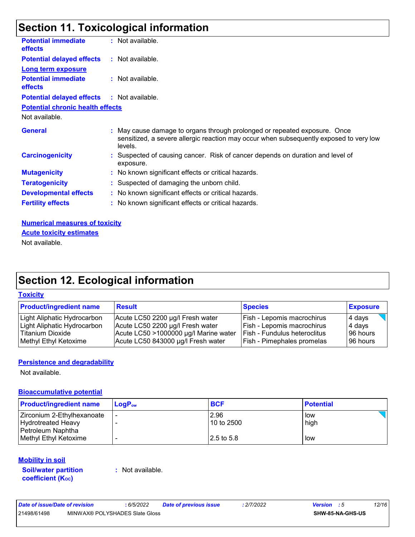### **Section 11. Toxicological information**

| <b>Potential immediate</b><br><b>effects</b>      | : Not available.                                                                                                                                                               |
|---------------------------------------------------|--------------------------------------------------------------------------------------------------------------------------------------------------------------------------------|
| <b>Potential delayed effects</b>                  | : Not available.                                                                                                                                                               |
| <b>Long term exposure</b>                         |                                                                                                                                                                                |
| <b>Potential immediate</b><br><b>effects</b>      | : Not available.                                                                                                                                                               |
| <b>Potential delayed effects : Not available.</b> |                                                                                                                                                                                |
| <b>Potential chronic health effects</b>           |                                                                                                                                                                                |
| Not available.                                    |                                                                                                                                                                                |
| <b>General</b>                                    | : May cause damage to organs through prolonged or repeated exposure. Once<br>sensitized, a severe allergic reaction may occur when subsequently exposed to very low<br>levels. |
| <b>Carcinogenicity</b>                            | : Suspected of causing cancer. Risk of cancer depends on duration and level of<br>exposure.                                                                                    |
| <b>Mutagenicity</b>                               | : No known significant effects or critical hazards.                                                                                                                            |
| <b>Teratogenicity</b>                             | : Suspected of damaging the unborn child.                                                                                                                                      |
| <b>Developmental effects</b>                      | : No known significant effects or critical hazards.                                                                                                                            |
| <b>Fertility effects</b>                          | : No known significant effects or critical hazards.                                                                                                                            |
| <b>Numerical measures of toxicity</b>             |                                                                                                                                                                                |

**Acute toxicity estimates**

Not available.

## **Section 12. Ecological information**

#### **Toxicity**

| <b>Product/ingredient name</b> | <b>Result</b>                         | <b>Species</b>                      | <b>Exposure</b> |
|--------------------------------|---------------------------------------|-------------------------------------|-----------------|
| Light Aliphatic Hydrocarbon    | Acute LC50 2200 µg/l Fresh water      | Fish - Lepomis macrochirus          | 4 days          |
| Light Aliphatic Hydrocarbon    | Acute LC50 2200 µg/l Fresh water      | Fish - Lepomis macrochirus          | 4 days          |
| Titanium Dioxide               | Acute LC50 >1000000 µg/l Marine water | <b>Fish - Fundulus heteroclitus</b> | 96 hours        |
| Methyl Ethyl Ketoxime          | Acute LC50 843000 µg/l Fresh water    | <b>Fish - Pimephales promelas</b>   | 96 hours        |

#### **Persistence and degradability**

Not available.

#### **Bioaccumulative potential**

| <b>Product/ingredient name</b> | $LoaPow$ | <b>BCF</b> | <b>Potential</b> |
|--------------------------------|----------|------------|------------------|
| Zirconium 2-Ethylhexanoate     |          | 2.96       | l low            |
| <b>Hydrotreated Heavy</b>      |          | 10 to 2500 | high             |
| Petroleum Naphtha              |          |            |                  |
| Methyl Ethyl Ketoxime          |          | 2.5 to 5.8 | low              |

#### **Mobility in soil**

**Soil/water partition coefficient (KOC)**

**:** Not available.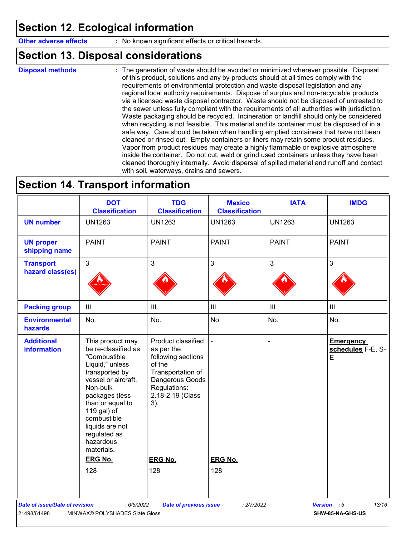### **Section 12. Ecological information**

**Other adverse effects** : No known significant effects or critical hazards.

### **Section 13. Disposal considerations**

**Disposal methods :**

The generation of waste should be avoided or minimized wherever possible. Disposal of this product, solutions and any by-products should at all times comply with the requirements of environmental protection and waste disposal legislation and any regional local authority requirements. Dispose of surplus and non-recyclable products via a licensed waste disposal contractor. Waste should not be disposed of untreated to the sewer unless fully compliant with the requirements of all authorities with jurisdiction. Waste packaging should be recycled. Incineration or landfill should only be considered when recycling is not feasible. This material and its container must be disposed of in a safe way. Care should be taken when handling emptied containers that have not been cleaned or rinsed out. Empty containers or liners may retain some product residues. Vapor from product residues may create a highly flammable or explosive atmosphere inside the container. Do not cut, weld or grind used containers unless they have been cleaned thoroughly internally. Avoid dispersal of spilled material and runoff and contact with soil, waterways, drains and sewers.

### **Section 14. Transport information**

| <b>UN1263</b><br><b>PAINT</b>                                                                                                                                         | <b>UN1263</b>                                |                                             |                                            |
|-----------------------------------------------------------------------------------------------------------------------------------------------------------------------|----------------------------------------------|---------------------------------------------|--------------------------------------------|
|                                                                                                                                                                       |                                              | <b>UN1263</b>                               | <b>UN1263</b>                              |
|                                                                                                                                                                       | <b>PAINT</b>                                 | <b>PAINT</b>                                | <b>PAINT</b>                               |
| 3                                                                                                                                                                     | $\mathfrak{S}$                               | 3                                           | 3                                          |
| $\mathbf{III}$                                                                                                                                                        | $\ensuremath{\mathsf{III}}\xspace$           | $\mathbf{III}$                              | $\ensuremath{\mathsf{III}}\xspace$         |
| No.                                                                                                                                                                   | No.                                          | No.                                         | No.                                        |
| Product classified<br>as per the<br>following sections<br>of the<br>Transportation of<br>Dangerous Goods<br>Regulations:<br>2.18-2.19 (Class<br>3).<br><b>ERG No.</b> | <b>ERG No.</b>                               |                                             | <b>Emergency</b><br>schedules F-E, S-<br>E |
| 128                                                                                                                                                                   | 128                                          |                                             |                                            |
|                                                                                                                                                                       |                                              |                                             | 13/16                                      |
|                                                                                                                                                                       | : 6/5/2022<br>MINWAX® POLYSHADES Slate Gloss | <b>Date of previous issue</b><br>: 2/7/2022 | Version : 5<br>SHW-85-NA-GHS-US            |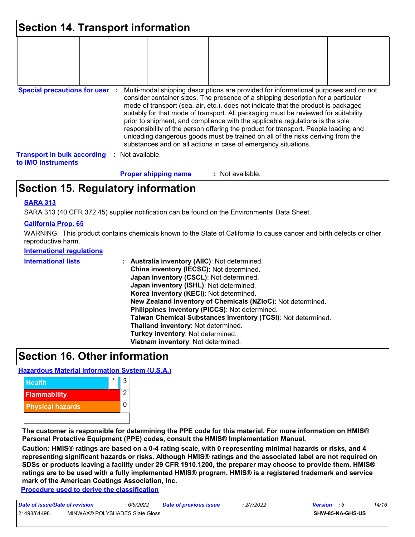| Section 14. Transport information                        |                  |                             |                                                                |                                                                                                                                                                                                                                                                                                                                                                                                                                                                                                                                                                                                                   |  |
|----------------------------------------------------------|------------------|-----------------------------|----------------------------------------------------------------|-------------------------------------------------------------------------------------------------------------------------------------------------------------------------------------------------------------------------------------------------------------------------------------------------------------------------------------------------------------------------------------------------------------------------------------------------------------------------------------------------------------------------------------------------------------------------------------------------------------------|--|
|                                                          |                  |                             |                                                                |                                                                                                                                                                                                                                                                                                                                                                                                                                                                                                                                                                                                                   |  |
|                                                          |                  |                             |                                                                |                                                                                                                                                                                                                                                                                                                                                                                                                                                                                                                                                                                                                   |  |
| <b>Special precautions for user :</b>                    |                  |                             | substances and on all actions in case of emergency situations. | Multi-modal shipping descriptions are provided for informational purposes and do not<br>consider container sizes. The presence of a shipping description for a particular<br>mode of transport (sea, air, etc.), does not indicate that the product is packaged<br>suitably for that mode of transport. All packaging must be reviewed for suitability<br>prior to shipment, and compliance with the applicable regulations is the sole<br>responsibility of the person offering the product for transport. People loading and<br>unloading dangerous goods must be trained on all of the risks deriving from the |  |
| <b>Transport in bulk according</b><br>to IMO instruments | : Not available. |                             |                                                                |                                                                                                                                                                                                                                                                                                                                                                                                                                                                                                                                                                                                                   |  |
|                                                          |                  | <b>Proper shipping name</b> | : Not available.                                               |                                                                                                                                                                                                                                                                                                                                                                                                                                                                                                                                                                                                                   |  |

### **Section 15. Regulatory information**

#### **SARA 313**

SARA 313 (40 CFR 372.45) supplier notification can be found on the Environmental Data Sheet.

#### **California Prop. 65**

WARNING: This product contains chemicals known to the State of California to cause cancer and birth defects or other reproductive harm.

#### **International regulations**

| China inventory (IECSC): Not determined.<br>Japan inventory (CSCL): Not determined.<br>Japan inventory (ISHL): Not determined.<br>Korea inventory (KECI): Not determined.<br>New Zealand Inventory of Chemicals (NZIoC): Not determined.<br>Philippines inventory (PICCS): Not determined.<br>Taiwan Chemical Substances Inventory (TCSI): Not determined.<br>Thailand inventory: Not determined.<br>Turkey inventory: Not determined.<br>Vietnam inventory: Not determined. |
|------------------------------------------------------------------------------------------------------------------------------------------------------------------------------------------------------------------------------------------------------------------------------------------------------------------------------------------------------------------------------------------------------------------------------------------------------------------------------|
|                                                                                                                                                                                                                                                                                                                                                                                                                                                                              |

### **Section 16. Other information**

#### **Hazardous Material Information System (U.S.A.)**



**The customer is responsible for determining the PPE code for this material. For more information on HMIS® Personal Protective Equipment (PPE) codes, consult the HMIS® Implementation Manual.**

**Caution: HMIS® ratings are based on a 0-4 rating scale, with 0 representing minimal hazards or risks, and 4 representing significant hazards or risks. Although HMIS® ratings and the associated label are not required on SDSs or products leaving a facility under 29 CFR 1910.1200, the preparer may choose to provide them. HMIS® ratings are to be used with a fully implemented HMIS® program. HMIS® is a registered trademark and service mark of the American Coatings Association, Inc.**

**Procedure used to derive the classification**

| Date of issue/Date of revision |                                | : 6/5/2022 | <b>Date of previous issue</b> | 2/7/2022 | <b>Version</b> : 5 |                         | 14/16 |
|--------------------------------|--------------------------------|------------|-------------------------------|----------|--------------------|-------------------------|-------|
| 21498/61498                    | MINWAX® POLYSHADES Slate Gloss |            |                               |          |                    | <b>SHW-85-NA-GHS-US</b> |       |